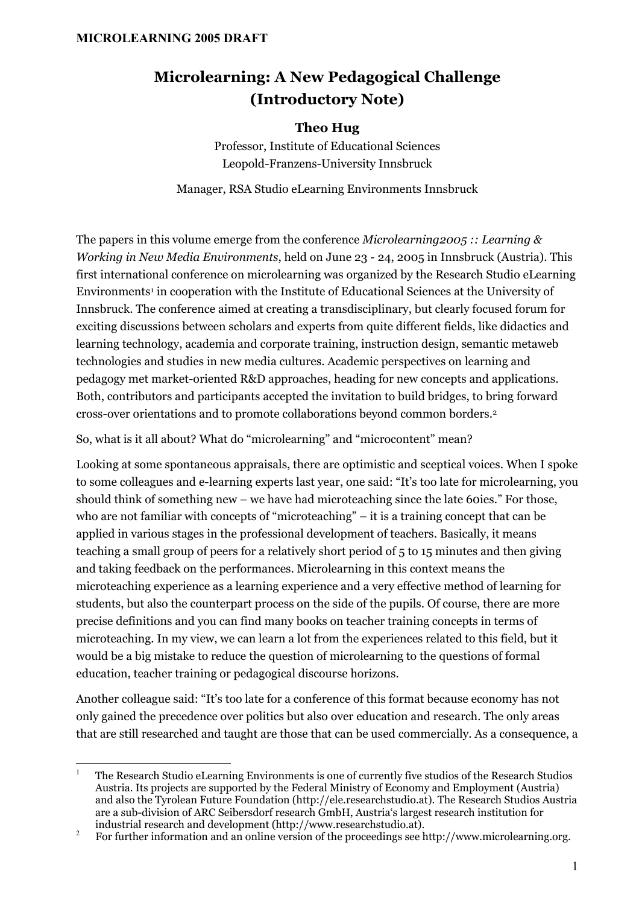# **Microlearning: A New Pedagogical Challenge (Introductory Note)**

#### **Theo Hug**

Professor, Institute of Educational Sciences Leopold-Franzens-University Innsbruck

Manager, RSA Studio eLearning Environments Innsbruck

The papers in this volume emerge from the conference *Microlearning2005 :: Learning & Working in New Media Environments*, held on June 23 - 24, 2005 in Innsbruck (Austria). This first international conference on microlearning was organized by the Research Studio eLearning Environments<sup>1</sup> in cooperation with the Institute of Educational Sciences at the University of Innsbruck. The conference aimed at creating a transdisciplinary, but clearly focused forum for exciting discussions between scholars and experts from quite different fields, like didactics and learning technology, academia and corporate training, instruction design, semantic metaweb technologies and studies in new media cultures. Academic perspectives on learning and pedagogy met market-oriented R&D approaches, heading for new concepts and applications. Both, contributors and participants accepted the invitation to build bridges, to bring forward cross-over orientations and to promote collaborations beyond common borders.2

So, what is it all about? What do "microlearning" and "microcontent" mean?

Looking at some spontaneous appraisals, there are optimistic and sceptical voices. When I spoke to some colleagues and e-learning experts last year, one said: "It's too late for microlearning, you should think of something new – we have had microteaching since the late 60ies." For those, who are not familiar with concepts of "microteaching" – it is a training concept that can be applied in various stages in the professional development of teachers. Basically, it means teaching a small group of peers for a relatively short period of 5 to 15 minutes and then giving and taking feedback on the performances. Microlearning in this context means the microteaching experience as a learning experience and a very effective method of learning for students, but also the counterpart process on the side of the pupils. Of course, there are more precise definitions and you can find many books on teacher training concepts in terms of microteaching. In my view, we can learn a lot from the experiences related to this field, but it would be a big mistake to reduce the question of microlearning to the questions of formal education, teacher training or pedagogical discourse horizons.

Another colleague said: "It's too late for a conference of this format because economy has not only gained the precedence over politics but also over education and research. The only areas that are still researched and taught are those that can be used commercially. As a consequence, a

 $\overline{a}$ <sup>1</sup> The Research Studio eLearning Environments is one of currently five studios of the Research Studios Austria. Its projects are supported by the Federal Ministry of Economy and Employment (Austria) and also the Tyrolean Future Foundation (http://ele.researchstudio.at). The Research Studios Austria are a sub-division of ARC Seibersdorf research GmbH, Austria's largest research institution for

industrial research and development (http://www.researchstudio.at).<br><sup>2</sup> For further information and an online version of the proceedings see http://www.microlearning.org.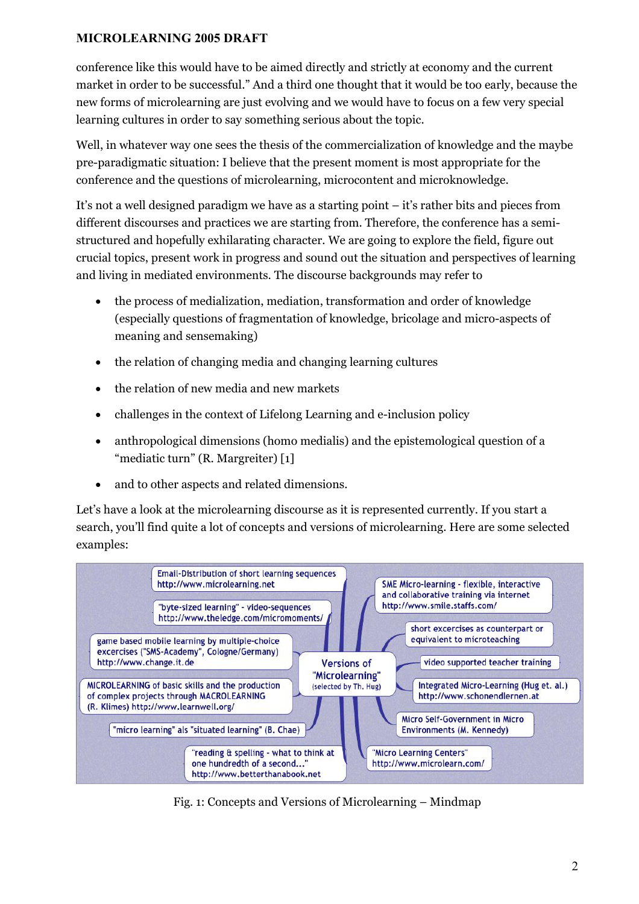conference like this would have to be aimed directly and strictly at economy and the current market in order to be successful." And a third one thought that it would be too early, because the new forms of microlearning are just evolving and we would have to focus on a few very special learning cultures in order to say something serious about the topic.

Well, in whatever way one sees the thesis of the commercialization of knowledge and the maybe pre-paradigmatic situation: I believe that the present moment is most appropriate for the conference and the questions of microlearning, microcontent and microknowledge.

It's not a well designed paradigm we have as a starting point – it's rather bits and pieces from different discourses and practices we are starting from. Therefore, the conference has a semistructured and hopefully exhilarating character. We are going to explore the field, figure out crucial topics, present work in progress and sound out the situation and perspectives of learning and living in mediated environments. The discourse backgrounds may refer to

- the process of medialization, mediation, transformation and order of knowledge (especially questions of fragmentation of knowledge, bricolage and micro-aspects of meaning and sensemaking)
- the relation of changing media and changing learning cultures
- the relation of new media and new markets
- challenges in the context of Lifelong Learning and e-inclusion policy
- ! anthropological dimensions (homo medialis) and the epistemological question of a "mediatic turn" (R. Margreiter) [1]
- and to other aspects and related dimensions.

Let's have a look at the microlearning discourse as it is represented currently. If you start a search, you'll find quite a lot of concepts and versions of microlearning. Here are some selected examples:



Fig. 1: Concepts and Versions of Microlearning – Mindmap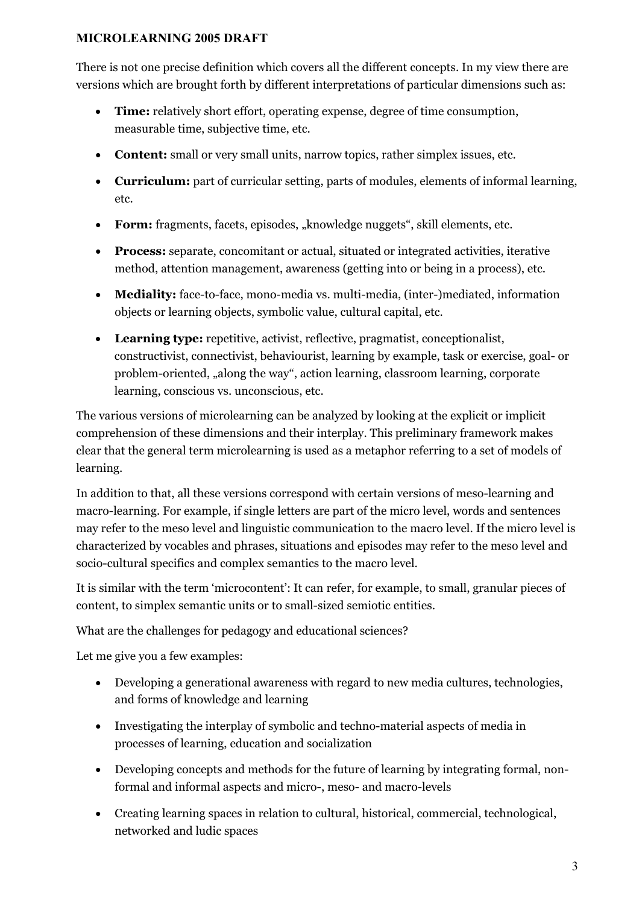There is not one precise definition which covers all the different concepts. In my view there are versions which are brought forth by different interpretations of particular dimensions such as:

- ! **Time:** relatively short effort, operating expense, degree of time consumption, measurable time, subjective time, etc.
- ! **Content:** small or very small units, narrow topics, rather simplex issues, etc.
- ! **Curriculum:** part of curricular setting, parts of modules, elements of informal learning, etc.
- Form: fragments, facets, episodes, "knowledge nuggets", skill elements, etc.
- ! **Process:** separate, concomitant or actual, situated or integrated activities, iterative method, attention management, awareness (getting into or being in a process), etc.
- ! **Mediality:** face-to-face, mono-media vs. multi-media, (inter-)mediated, information objects or learning objects, symbolic value, cultural capital, etc.
- ! **Learning type:** repetitive, activist, reflective, pragmatist, conceptionalist, constructivist, connectivist, behaviourist, learning by example, task or exercise, goal- or problem-oriented, "along the way", action learning, classroom learning, corporate learning, conscious vs. unconscious, etc.

The various versions of microlearning can be analyzed by looking at the explicit or implicit comprehension of these dimensions and their interplay. This preliminary framework makes clear that the general term microlearning is used as a metaphor referring to a set of models of learning.

In addition to that, all these versions correspond with certain versions of meso-learning and macro-learning. For example, if single letters are part of the micro level, words and sentences may refer to the meso level and linguistic communication to the macro level. If the micro level is characterized by vocables and phrases, situations and episodes may refer to the meso level and socio-cultural specifics and complex semantics to the macro level.

It is similar with the term 'microcontent': It can refer, for example, to small, granular pieces of content, to simplex semantic units or to small-sized semiotic entities.

What are the challenges for pedagogy and educational sciences?

Let me give you a few examples:

- ! Developing a generational awareness with regard to new media cultures, technologies, and forms of knowledge and learning
- ! Investigating the interplay of symbolic and techno-material aspects of media in processes of learning, education and socialization
- ! Developing concepts and methods for the future of learning by integrating formal, nonformal and informal aspects and micro-, meso- and macro-levels
- ! Creating learning spaces in relation to cultural, historical, commercial, technological, networked and ludic spaces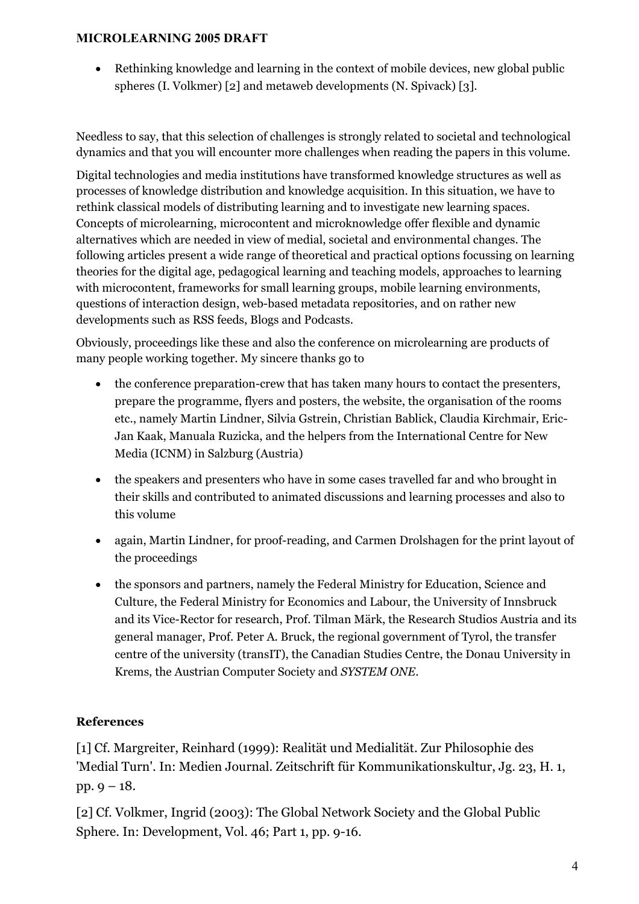! Rethinking knowledge and learning in the context of mobile devices, new global public spheres (I. Volkmer) [2] and metaweb developments (N. Spivack) [3].

Needless to say, that this selection of challenges is strongly related to societal and technological dynamics and that you will encounter more challenges when reading the papers in this volume.

Digital technologies and media institutions have transformed knowledge structures as well as processes of knowledge distribution and knowledge acquisition. In this situation, we have to rethink classical models of distributing learning and to investigate new learning spaces. Concepts of microlearning, microcontent and microknowledge offer flexible and dynamic alternatives which are needed in view of medial, societal and environmental changes. The following articles present a wide range of theoretical and practical options focussing on learning theories for the digital age, pedagogical learning and teaching models, approaches to learning with microcontent, frameworks for small learning groups, mobile learning environments, questions of interaction design, web-based metadata repositories, and on rather new developments such as RSS feeds, Blogs and Podcasts.

Obviously, proceedings like these and also the conference on microlearning are products of many people working together. My sincere thanks go to

- the conference preparation-crew that has taken many hours to contact the presenters, prepare the programme, flyers and posters, the website, the organisation of the rooms etc., namely Martin Lindner, Silvia Gstrein, Christian Bablick, Claudia Kirchmair, Eric-Jan Kaak, Manuala Ruzicka, and the helpers from the International Centre for New Media (ICNM) in Salzburg (Austria)
- the speakers and presenters who have in some cases travelled far and who brought in their skills and contributed to animated discussions and learning processes and also to this volume
- ! again, Martin Lindner, for proof-reading, and Carmen Drolshagen for the print layout of the proceedings
- ! the sponsors and partners, namely the Federal Ministry for Education, Science and Culture, the Federal Ministry for Economics and Labour, the University of Innsbruck and its Vice-Rector for research, Prof. Tilman Märk, the Research Studios Austria and its general manager, Prof. Peter A. Bruck, the regional government of Tyrol, the transfer centre of the university (transIT), the Canadian Studies Centre, the Donau University in Krems, the Austrian Computer Society and *SYSTEM ONE*.

## **References**

[1] Cf. Margreiter, Reinhard (1999): Realität und Medialität. Zur Philosophie des 'Medial Turn'. In: Medien Journal. Zeitschrift für Kommunikationskultur, Jg. 23, H. 1, pp.  $9 - 18$ .

[2] Cf. Volkmer, Ingrid (2003): The Global Network Society and the Global Public Sphere. In: Development, Vol. 46; Part 1, pp. 9-16.